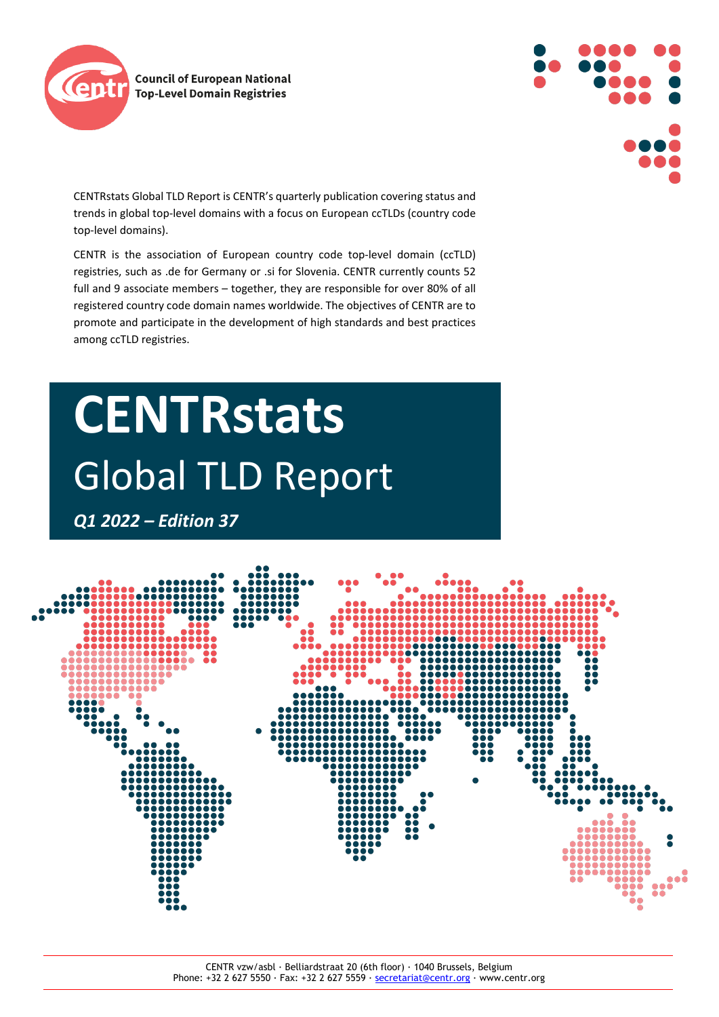



CENTRstats Global TLD Report is CENTR's quarterly publication covering status and trends in global top-level domains with a focus on European ccTLDs (country code top-level domains).

CENTR is the association of European country code top-level domain (ccTLD) registries, such as .de for Germany or .si for Slovenia. CENTR currently counts 52 full and 9 associate members – together, they are responsible for over 80% of all registered country code domain names worldwide. The objectives of CENTR are to promote and participate in the development of high standards and best practices among ccTLD registries.

# **CENTRstats** Global TLD Report

*Q1 2022 – Edition 37*

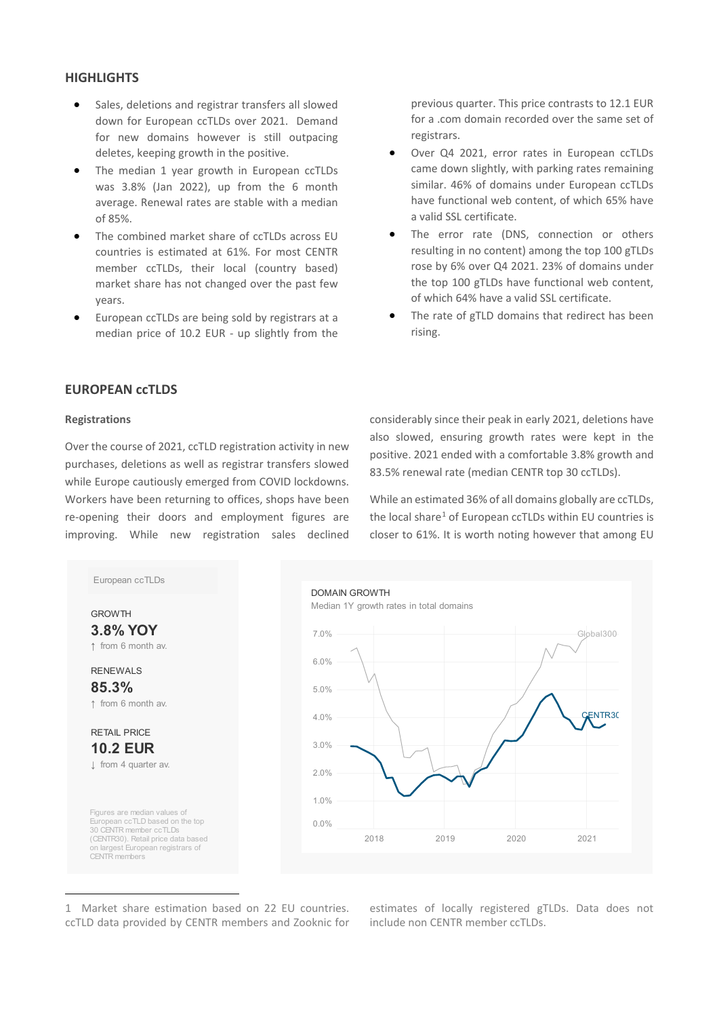# **HIGHLIGHTS**

- Sales, deletions and registrar transfers all slowed down for European ccTLDs over 2021. Demand for new domains however is still outpacing deletes, keeping growth in the positive.
- The median 1 year growth in European ccTLDs was 3.8% (Jan 2022), up from the 6 month average. Renewal rates are stable with a median of 85%.
- The combined market share of ccTLDs across EU countries is estimated at 61%. For most CENTR member ccTLDs, their local (country based) market share has not changed over the past few years.
- European ccTLDs are being sold by registrars at a median price of 10.2 EUR - up slightly from the

previous quarter. This price contrasts to 12.1 EUR for a .com domain recorded over the same set of registrars.

- Over Q4 2021, error rates in European ccTLDs came down slightly, with parking rates remaining similar. 46% of domains under European ccTLDs have functional web content, of which 65% have a valid SSL certificate.
- The error rate (DNS, connection or others resulting in no content) among the top 100 gTLDs rose by 6% over Q4 2021. 23% of domains under the top 100 gTLDs have functional web content, of which 64% have a valid SSL certificate.
- The rate of gTLD domains that redirect has been rising.

# **EUROPEAN ccTLDS**

### **Registrations**

Over the course of 2021, ccTLD registration activity in new purchases, deletions as well as registrar transfers slowed while Europe cautiously emerged from COVID lockdowns. Workers have been returning to offices, shops have been re-opening their doors and employment figures are improving. While new registration sales declined

considerably since their peak in early 2021, deletions have also slowed, ensuring growth rates were kept in the positive. 2021 ended with a comfortable 3.8% growth and 83.5% renewal rate (median CENTR top 30 ccTLDs).

While an estimated 36% of all domains globally are ccTLDs, the local share<sup>[1](#page-1-0)</sup> of European ccTLDs within EU countries is closer to 61%. It is worth noting however that among EU



<span id="page-1-0"></span>1 Market share estimation based on 22 EU countries. ccTLD data provided by CENTR members and Zooknic for estimates of locally registered gTLDs. Data does not include non CENTR member ccTLDs.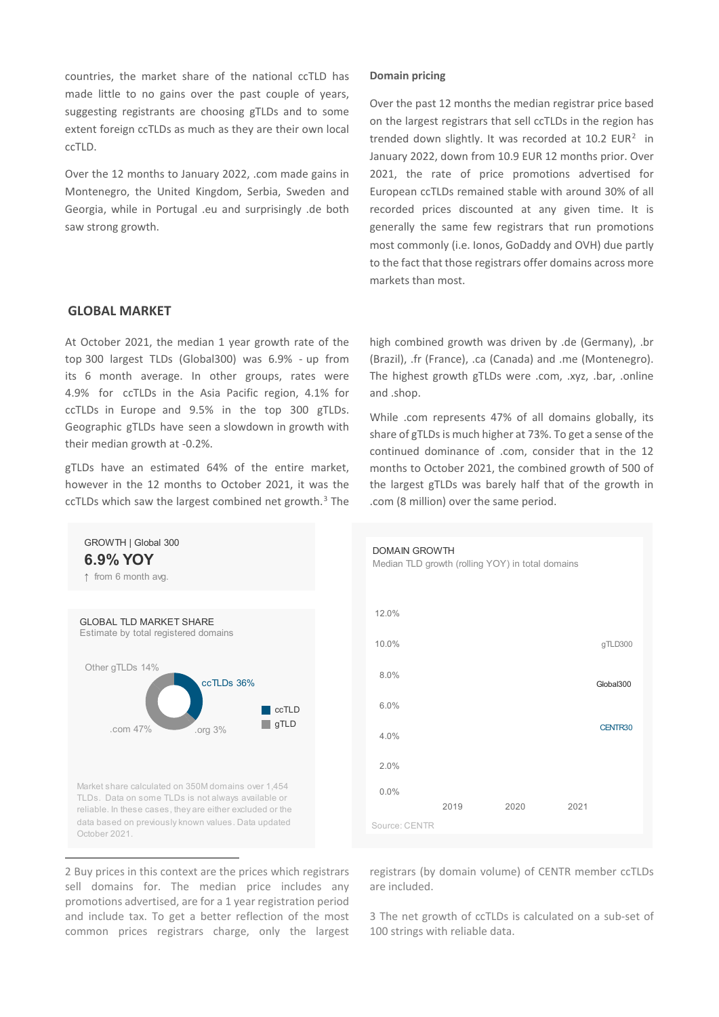countries, the market share of the national ccTLD has made little to no gains over the past couple of years, suggesting registrants are choosing gTLDs and to some extent foreign ccTLDs as much as they are their own local ccTLD.

Over the 12 months to January 2022, .com made gains in Montenegro, the United Kingdom, Serbia, Sweden and Georgia, while in Portugal .eu and surprisingly .de both saw strong growth.

## **GLOBAL MARKET**

At October 2021, the median 1 year growth rate of the top 300 largest TLDs (Global300) was 6.9% - up from its 6 month average. In other groups, rates were 4.9% for ccTLDs in the Asia Pacific region, 4.1% for ccTLDs in Europe and 9.5% in the top 300 gTLDs. Geographic gTLDs have seen a slowdown in growth with their median growth at -0.2%.

gTLDs have an estimated 64% of the entire market, however in the 12 months to October 2021, it was the ccTLDs which saw the largest combined net growth. $3$  The

## **Domain pricing**

Over the past 12 months the median registrar price based on the largest registrars that sell ccTLDs in the region has trended down slightly. It was recorded at  $10.2$  $10.2$  EUR<sup>2</sup> in January 2022, down from 10.9 EUR 12 months prior. Over 2021, the rate of price promotions advertised for European ccTLDs remained stable with around 30% of all recorded prices discounted at any given time. It is generally the same few registrars that run promotions most commonly (i.e. Ionos, GoDaddy and OVH) due partly to the fact that those registrars offer domains across more markets than most.

high combined growth was driven by .de (Germany), .br (Brazil), .fr (France), .ca (Canada) and .me (Montenegro). The highest growth gTLDs were .com, .xyz, .bar, .online and .shop.

While .com represents 47% of all domains globally, its share of gTLDs is much higher at 73%. To get a sense of the continued dominance of .com, consider that in the 12 months to October 2021, the combined growth of 500 of the largest gTLDs was barely half that of the growth in .com (8 million) over the same period.



<span id="page-2-1"></span><span id="page-2-0"></span>2 Buy prices in this context are the prices which registrars sell domains for. The median price includes any promotions advertised, are for a 1 year registration period and include tax. To get a better reflection of the most common prices registrars charge, only the largest



registrars (by domain volume) of CENTR member ccTLDs are included.

3 The net growth of ccTLDs is calculated on a sub-set of 100 strings with reliable data.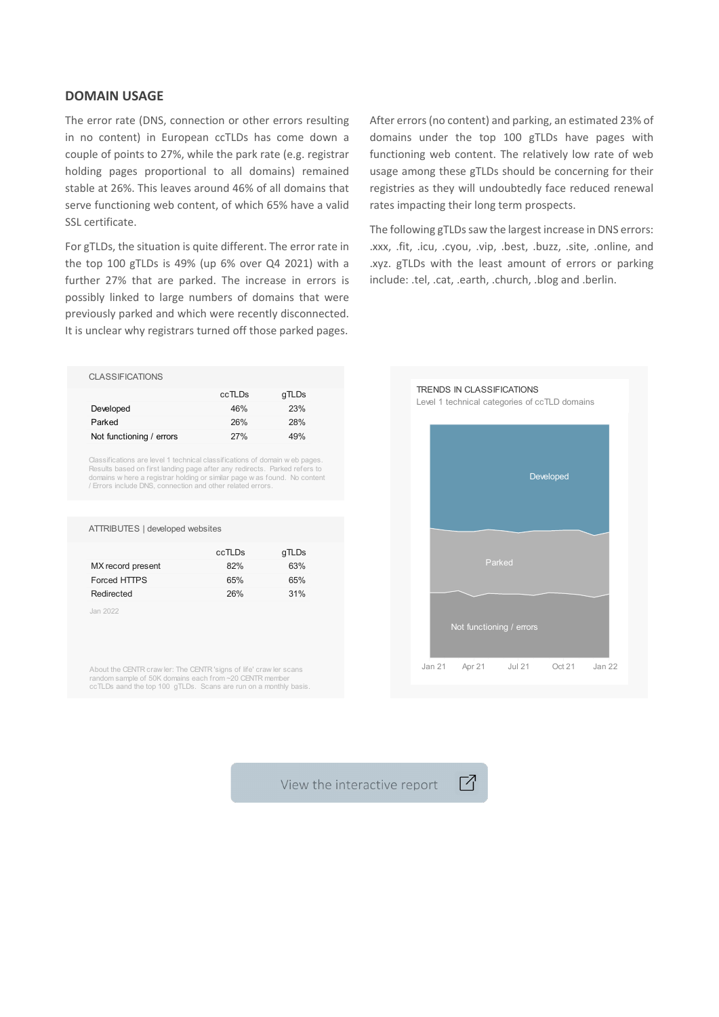## **DOMAIN USAGE**

The error rate (DNS, connection or other errors resulting in no content) in European ccTLDs has come down a couple of points to 27%, while the park rate (e.g. registrar holding pages proportional to all domains) remained stable at 26%. This leaves around 46% of all domains that serve functioning web content, of which 65% have a valid SSL certificate.

For gTLDs, the situation is quite different. The error rate in the top 100 gTLDs is 49% (up 6% over Q4 2021) with a further 27% that are parked. The increase in errors is possibly linked to large numbers of domains that were previously parked and which were recently disconnected. It is unclear why registrars turned off those parked pages.

After errors (no content) and parking, an estimated 23% of domains under the top 100 gTLDs have pages with functioning web content. The relatively low rate of web usage among these gTLDs should be concerning for their registries as they will undoubtedly face reduced renewal rates impacting their long term prospects.

The following gTLDs saw the largest increase in DNS errors: .xxx, .fit, .icu, .cyou, .vip, .best, .buzz, .site, .online, and .xyz. gTLDs with the least amount of errors or parking include: .tel, .cat, .earth, .church, .blog and .berlin.

#### CLASSIFICATIONS

|                          | ccTLDs | gTLDs |
|--------------------------|--------|-------|
| Developed                | 46%    | 23%   |
| Parked                   | 26%    | 28%   |
| Not functioning / errors | 27%    | 49%   |

Classifications are level 1 technical classifications of domain w eb page Results based on first landing page after any redirects. Parked refers to<br>domains w here a registrar holding or similar page w as found. No content<br>/ Errors include DNS, connection and other related errors.

#### ATTRIBUTES | developed websites

| ccTLDs | gTLDs |
|--------|-------|
| 82%    | 63%   |
| 65%    | 65%   |
| 26%    | 31%   |
|        |       |

Jan 2022

About the CENTR craw ler: The CENTR 'signs of life' craw ler scans random sample of 50K domains each from ~20 CENTR member ccTLDs aand the top 100 gTLDs. Scans are run on a monthly basis.



Г7

View the interactive report